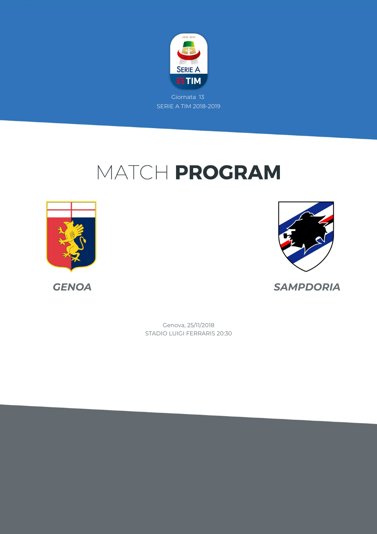

# MATCH PROGRAM





*GENOA SAMPDORIA*

STADIO LUIGI FERRARIS 20:30 Genova, 25/11/2018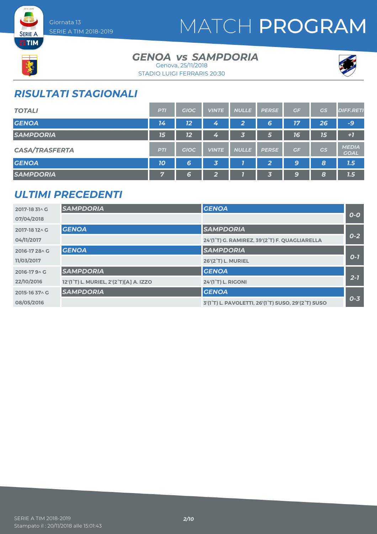

# MATCH PROGRAM



**SERIE A** 

#### GENOA *vs* SAMPDORIA Genova, 25/11/2018



STADIO LUIGI FERRARIS 20:30

### *RISULTATI STAGIONALI*

| <b>TOTALI</b>         | <b>PTI</b> | <b>GIOC</b> | <b>VINTE</b>            | <b>NULLE</b> | <b>PERSE</b> | GF        | <b>GS</b> | <b>DIFF.RETI</b>            |
|-----------------------|------------|-------------|-------------------------|--------------|--------------|-----------|-----------|-----------------------------|
| <b>GENOA</b>          | 14         | 12          | 4                       | $\mathbf{2}$ | 6            | <b>17</b> | 26        | $-9$                        |
| <b>SAMPDORIA</b>      | 15         | 12          | 4                       | 村            | 5            | 16        | 15        | $+1$                        |
| <b>CASA/TRASFERTA</b> | <b>PTI</b> | <b>GIOC</b> | <b>VINTE</b>            | <b>NULLE</b> | <b>PERSE</b> | GF        | GS        | <b>MEDIA</b><br><b>GOAL</b> |
| <b>GENOA</b>          | 10         | 6           | $\overline{\mathbf{3}}$ |              | 2            | 9         | 8         | 1.5                         |
| <b>SAMPDORIA</b>      | 7          | 6           | $\mathbf{2}$            |              | 3            | 9         | 8         | 1.5                         |

### *ULTIMI PRECEDENTI*

| 2017-18 31 \ G | <b>SAMPDORIA</b>                       | <b>GENOA</b>                                       |         |
|----------------|----------------------------------------|----------------------------------------------------|---------|
| 07/04/2018     |                                        |                                                    | $O-O$   |
| 2017-18 12 \ G | <b>GENOA</b>                           | <b>SAMPDORIA</b>                                   |         |
| 04/11/2017     |                                        | 24'(1°T) G. RAMIREZ, 39'(2°T) F. QUAGLIARELLA      | $0 - 2$ |
| 2016-17 28 \ G | <b>GENOA</b>                           | <b>SAMPDORIA</b>                                   |         |
| 11/03/2017     |                                        | 26'(2°T) L. MURIEL                                 | $O-7$   |
| 2016-17 9 ^ G  | <b>SAMPDORIA</b>                       | <b>GENOA</b>                                       |         |
| 22/10/2016     | 12'(1°T) L. MURIEL, 2'(2°T)[A] A. IZZO | <b>24'(1<sup>°</sup>T)</b> L. RIGONI               | $2 - 7$ |
| 2015-16 37 \ G | <b>SAMPDORIA</b>                       | <b>GENOA</b>                                       |         |
| 08/05/2016     |                                        | 3'(1°T) L. PAVOLETTI, 26'(1°T) SUSO, 29'(2°T) SUSO | $0 - 3$ |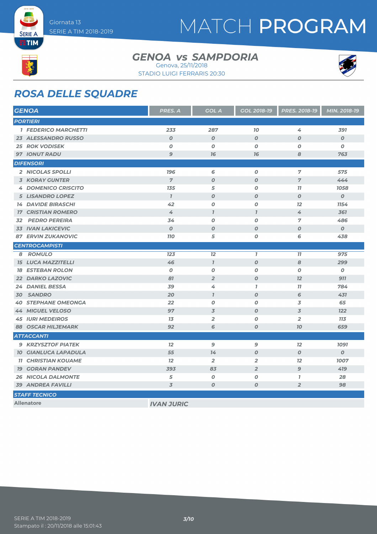

**SERIE A ETIM** 

## MATCH PROGRAM

#### GENOA *vs* SAMPDORIA Genova, 25/11/2018





### *ROSA DELLE SQUADRE*

| <b>GENOA</b>                | <b>PRES. A</b>    | <b>GOL A</b>     | <b>GOL 2018-19</b> | PRES. 2018-19    | MIN. 2018-19     |
|-----------------------------|-------------------|------------------|--------------------|------------------|------------------|
| <b>PORTIERI</b>             |                   |                  |                    |                  |                  |
| <b>1 FEDERICO MARCHETTI</b> | 233               | 287              | 10                 | 4                | 391              |
| 23 ALESSANDRO RUSSO         | $\boldsymbol{O}$  | $\boldsymbol{o}$ | $\boldsymbol{O}$   | $\boldsymbol{O}$ | O                |
| <b>25 ROK VODISEK</b>       | 0                 | O                | $\boldsymbol{O}$   | 0                | Ο                |
| <b>97 IONUT RADU</b>        | 9                 | 76               | 76                 | 8                | 763              |
| <b>DIFENSORI</b>            |                   |                  |                    |                  |                  |
| 2 NICOLAS SPOLLI            | 196               | 6                | $\boldsymbol{O}$   | 7                | 575              |
| <b>3 KORAY GUNTER</b>       | $\overline{7}$    | $\boldsymbol{O}$ | $\boldsymbol{O}$   | $\overline{7}$   | 444              |
| <b>4 DOMENICO CRISCITO</b>  | 135               | 5                | $\boldsymbol{O}$   | 11               | 1058             |
| <b>5 LISANDRO LOPEZ</b>     | $\mathcal{I}$     | $\boldsymbol{O}$ | $\boldsymbol{O}$   | $\boldsymbol{O}$ | $\boldsymbol{O}$ |
| <b>14 DAVIDE BIRASCHI</b>   | 42                | $\boldsymbol{O}$ | $\boldsymbol{O}$   | 12               | 1154             |
| <b>17 CRISTIAN ROMERO</b>   | 4                 | $\overline{I}$   | $\overline{I}$     | 4                | 361              |
| <b>32 PEDRO PEREIRA</b>     | 34                | $\boldsymbol{O}$ | $\boldsymbol{O}$   | $\overline{7}$   | 486              |
| <b>33 IVAN LAKICEVIC</b>    | $\boldsymbol{O}$  | $\boldsymbol{O}$ | $\boldsymbol{O}$   | $\boldsymbol{O}$ | $\boldsymbol{O}$ |
| <b>87 ERVIN ZUKANOVIC</b>   | <b>110</b>        | 5                | $\boldsymbol{0}$   | 6                | 438              |
| <b>CENTROCAMPISTI</b>       |                   |                  |                    |                  |                  |
| 8 ROMULO                    | 123               | 12               | $\mathbf{I}$       | 77               | 975              |
| <b>15 LUCA MAZZITELLI</b>   | 46                | $\overline{I}$   | $\boldsymbol{O}$   | 8                | 299              |
| <b>18 ESTEBAN ROLON</b>     | $\boldsymbol{O}$  | $\boldsymbol{O}$ | O                  | O                | 0                |
| <b>22 DARKO LAZOVIC</b>     | 81                | $\overline{2}$   | $\boldsymbol{O}$   | 12               | 911              |
| 24 DANIEL BESSA             | 39                | 4                | $\mathbf{7}$       | 77               | 784              |
| 30 SANDRO                   | 20                | $\overline{I}$   | $\boldsymbol{O}$   | 6                | 431              |
| <b>40 STEPHANE OMEONGA</b>  | 22                | $\boldsymbol{O}$ | $\boldsymbol{O}$   | 3                | 65               |
| <b>44 MIGUEL VELOSO</b>     | 97                | $\overline{3}$   | $\boldsymbol{O}$   | 3                | 122              |
| <b>45 IURI MEDEIROS</b>     | 13                | $\overline{2}$   | $\boldsymbol{O}$   | $\overline{2}$   | <b>113</b>       |
| <b>88 OSCAR HILJEMARK</b>   | 92                | 6                | $\boldsymbol{O}$   | 70               | 659              |
| <b>ATTACCANTI</b>           |                   |                  |                    |                  |                  |
| <b>9 KRZYSZTOF PIATEK</b>   | 12                | 9                | 9                  | 12               | 1091             |
| <b>10 GIANLUCA LAPADULA</b> | 55                | 14               | $\boldsymbol{O}$   | $\boldsymbol{O}$ | $\boldsymbol{O}$ |
| <b>11 CHRISTIAN KOUAME</b>  | 12                | $\overline{2}$   | $\overline{2}$     | 12               | 1007             |
| <b>19 GORAN PANDEV</b>      | 393               | 83               | $\overline{2}$     | $\mathbf{9}$     | 419              |
| <b>26 NICOLA DALMONTE</b>   | 5                 | $\boldsymbol{o}$ | $\pmb{o}$          | $\mathbf{I}$     | 28               |
| <b>39 ANDREA FAVILLI</b>    | 3                 | 0                | $\boldsymbol{O}$   | $\overline{2}$   | 98               |
| <b>STAFF TECNICO</b>        |                   |                  |                    |                  |                  |
| <b>Allenatore</b>           | <b>IVAN JURIC</b> |                  |                    |                  |                  |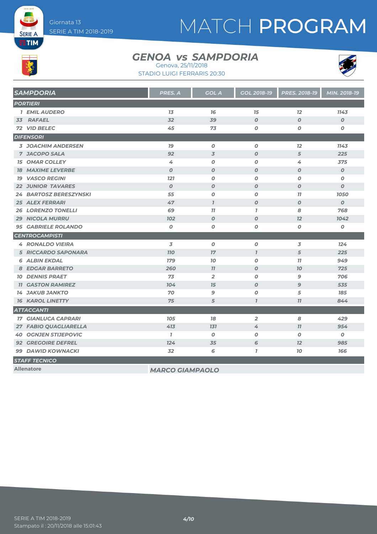# MATCH PROGRAM

# **ETIM**

**SERIE A** 

#### GENOA *vs* SAMPDORIA Genova, 25/11/2018





| <b>SAMPDORIA</b>              | PRES. A                | <b>GOL A</b>     | <b>GOL 2018-19</b> | PRES. 2018-19    | MIN. 2018-19     |
|-------------------------------|------------------------|------------------|--------------------|------------------|------------------|
| <b>PORTIERI</b>               |                        |                  |                    |                  |                  |
| <b>1 EMIL AUDERO</b>          | 13                     | 16               | 15                 | 12               | 1143             |
| 33 RAFAEL                     | 32                     | 39               | $\boldsymbol{O}$   | $\boldsymbol{O}$ | $\boldsymbol{O}$ |
| 72 VID BELEC                  | 45                     | 73               | $\pmb{o}$          | O                | O                |
| <b>DIFENSORI</b>              |                        |                  |                    |                  |                  |
| <b>3 JOACHIM ANDERSEN</b>     | 79                     | $\boldsymbol{0}$ | $\boldsymbol{O}$   | 12               | 1143             |
| <b>7 JACOPO SALA</b>          | 92                     | $\overline{3}$   | $\boldsymbol{O}$   | 5                | 225              |
| <b>15 OMAR COLLEY</b>         | 4                      | $\boldsymbol{0}$ | 0                  | 4                | 375              |
| <b>18 MAXIME LEVERBE</b>      | $\boldsymbol{0}$       | $\boldsymbol{0}$ | $\boldsymbol{O}$   | $\boldsymbol{O}$ | $\boldsymbol{0}$ |
| <b>19 VASCO REGINI</b>        | <b>121</b>             | $\boldsymbol{0}$ | $\boldsymbol{o}$   | $\boldsymbol{O}$ | 0                |
| <b>22 JUNIOR TAVARES</b>      | $\boldsymbol{0}$       | $\boldsymbol{0}$ | $\boldsymbol{O}$   | $\boldsymbol{O}$ | $\boldsymbol{O}$ |
| <b>24 BARTOSZ BERESZYNSKI</b> | 55                     | $\boldsymbol{0}$ | $\boldsymbol{o}$   | 11               | 1050             |
| <b>25 ALEX FERRARI</b>        | 47                     | $\overline{I}$   | $\boldsymbol{o}$   | $\boldsymbol{O}$ | $\boldsymbol{O}$ |
| <b>26 LORENZO TONELLI</b>     | 69                     | 77               | $\overline{1}$     | 8                | 768              |
| <b>29 NICOLA MURRU</b>        | <b>102</b>             | $\boldsymbol{0}$ | $\boldsymbol{O}$   | 12               | 1042             |
| <b>95 GABRIELE ROLANDO</b>    | $\boldsymbol{0}$       | $\boldsymbol{O}$ | $\boldsymbol{o}$   | $\boldsymbol{o}$ | $\pmb{o}$        |
| <b>CENTROCAMPISTI</b>         |                        |                  |                    |                  |                  |
| <b>4 RONALDO VIEIRA</b>       | 3                      | $\boldsymbol{0}$ | 0                  | 3                | 124              |
| <b>5 RICCARDO SAPONARA</b>    | <b>110</b>             | 17               | $\overline{1}$     | 5                | 225              |
| <b>6 ALBIN EKDAL</b>          | <b>179</b>             | 70               | $\boldsymbol{o}$   | 77               | 949              |
| <b>8 EDGAR BARRETO</b>        | 260                    | 77               | $\boldsymbol{O}$   | $70^{\circ}$     | 725              |
| <b>10 DENNIS PRAET</b>        | 73                     | $\overline{2}$   | $\boldsymbol{o}$   | 9                | 706              |
| <b>11 GASTON RAMIREZ</b>      | 104                    | 15               | $\boldsymbol{O}$   | 9                | 535              |
| <b>14 JAKUB JANKTO</b>        | 70                     | $\mathbf{9}$     | $\boldsymbol{O}$   | 5                | 185              |
| <b>16 KAROL LINETTY</b>       | 75                     | 5                | $\overline{I}$     | 77               | 844              |
| <b>ATTACCANTI</b>             |                        |                  |                    |                  |                  |
| <b>17 GIANLUCA CAPRARI</b>    | <b>105</b>             | 78               | $\overline{2}$     | 8                | 429              |
| 27 FABIO QUAGLIARELLA         | 413                    | 131              | 4                  | 77               | 954              |
| <b>40 OGNJEN STIJEPOVIC</b>   | $\mathbf{7}$           | $\boldsymbol{0}$ | $\boldsymbol{o}$   | $\boldsymbol{O}$ | 0                |
| <b>92 GREGOIRE DEFREL</b>     | 124                    | 35               | 6                  | 12               | 985              |
| <b>99 DAWID KOWNACKI</b>      | 32                     | 6                | $\mathbf{I}$       | 70               | 166              |
| <b>STAFF TECNICO</b>          |                        |                  |                    |                  |                  |
| <b>Allenatore</b>             | <b>MARCO GIAMPAOLO</b> |                  |                    |                  |                  |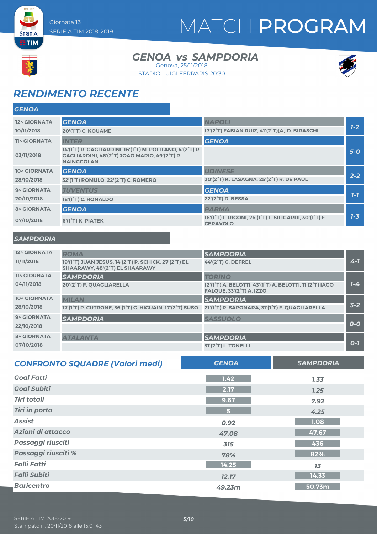# MATCH PROGRAM

#### GENOA *vs* SAMPDORIA Genova, 25/11/2018

STADIO LUIGI FERRARIS 20:30



### *RENDIMENTO RECENTE*

| <b>GENOA</b>        |                                                                                                                                 |                                                                                                                  |         |
|---------------------|---------------------------------------------------------------------------------------------------------------------------------|------------------------------------------------------------------------------------------------------------------|---------|
| 12^ GIORNATA        | <b>GENOA</b>                                                                                                                    | <b>NAPOLI</b>                                                                                                    |         |
| 10/11/2018          | 20'(1 <sup>°</sup> T) C. KOUAME                                                                                                 | 17'(2°T) FABIAN RUIZ, 41'(2°T)[A] D. BIRASCHI                                                                    | $7-2$   |
| <b>11^ GIORNATA</b> | <b>INTER</b>                                                                                                                    | <b>GENOA</b>                                                                                                     |         |
| 03/11/2018          | 14'(1°T) R. GAGLIARDINI, 16'(1°T) M. POLITANO, 4'(2°T) R.<br>GAGLIARDINI, 46'(2°T) JOAO MARIO, 49'(2°T) R.<br><b>NAINGGOLAN</b> |                                                                                                                  | $5-0$   |
| 10^ GIORNATA        | <b>GENOA</b>                                                                                                                    | <b>UDINESE</b>                                                                                                   |         |
| 28/10/2018          | 32'(1 <sup>°</sup> T) ROMULO, 22'(2 <sup>°</sup> T) C. ROMERO                                                                   | 20'(2°T) K. LASAGNA, 25'(2°T) R. DE PAUL                                                                         | $2 - 2$ |
| 9^ GIORNATA         | <b>JUVENTUS</b>                                                                                                                 | <b>GENOA</b>                                                                                                     |         |
| 20/10/2018          | 18'(1 <sup>°</sup> T) C. RONALDO                                                                                                | 22'(2°T) D. BESSA                                                                                                | $1 - 7$ |
| <b>8^ GIORNATA</b>  | <b>GENOA</b>                                                                                                                    | <b>PARMA</b>                                                                                                     |         |
| 07/10/2018          | $6'(1^{\circ}T)$ K. PIATEK                                                                                                      | 16'(1 <sup>°</sup> T) L. RIGONI, 26'(1 <sup>°</sup> T) L. SILIGARDI, 30'(1 <sup>°</sup> T) F.<br><b>CERAVOLO</b> | $7 - 3$ |

#### *SAMPDORIA*

**SERIE A ETIM** 

| 12^ GIORNATA        | <b>ROMA</b>                                                                                    | <b>SAMPDORIA</b>                                                                                                                  |         |
|---------------------|------------------------------------------------------------------------------------------------|-----------------------------------------------------------------------------------------------------------------------------------|---------|
| 11/11/2018          | 19'(1°T) JUAN JESUS, 14'(2°T) P. SCHICK, 27'(2°T) EL<br>SHAARAWY, 48'(2°T) EL SHAARAWY         | 44'(2°T) G. DEFREL                                                                                                                | $4 - 7$ |
| <b>11^ GIORNATA</b> | <b>SAMPDORIA</b>                                                                               | <b>TORINO</b>                                                                                                                     |         |
| 04/11/2018          | 20'(2°T) F. QUAGLIARELLA                                                                       | 12'(1 <sup>°</sup> T) A. BELOTTI, 43'(1 <sup>°</sup> T) A. BELOTTI, 11'(2 <sup>°</sup> T) IAGO<br><b>FALQUE, 33'(2°T) A. IZZO</b> | $1 - 4$ |
| 10^ GIORNATA        | <b>MILAN</b>                                                                                   | <b>SAMPDORIA</b>                                                                                                                  |         |
| 28/10/2018          | 17'(1 <sup>°</sup> T) P. CUTRONE, 36'(1 <sup>°</sup> T) G. HIGUAIN, 17'(2 <sup>°</sup> T) SUSO | 21'(1°T) R. SAPONARA, 31'(1°T) F. QUAGLIARELLA                                                                                    | $3 - 2$ |
| 9^ GIORNATA         | <b>SAMPDORIA</b>                                                                               | <b>SASSUOLO</b>                                                                                                                   |         |
| 22/10/2018          |                                                                                                |                                                                                                                                   | $O-O$   |
| <b>8^ GIORNATA</b>  | <b>ATALANTA</b>                                                                                | <b>SAMPDORIA</b>                                                                                                                  |         |
| 07/10/2018          |                                                                                                | 31'(2 <sup>°</sup> T) L. TONELLI                                                                                                  | $O-7$   |

| <b>CONFRONTO SQUADRE (Valori medi)</b> | <b>GENOA</b>   | <b>SAMPDORIA</b> |
|----------------------------------------|----------------|------------------|
| <b>Goal Fatti</b>                      | 1.42           | 7.33             |
| <b>Goal Subiti</b>                     | 2.17           | 7.25             |
| <b>Tiri totali</b>                     | 9.67           | 7.92             |
| <b>Tiri in porta</b>                   | 5 <sub>1</sub> | 4.25             |
| <b>Assist</b>                          | 0.92           | 1.08             |
| Azioni di attacco                      | 47.08          | 47.67            |
| Passaggi riusciti                      | 315            | 436              |
| Passaggi riusciti %                    | 78%            | 82%              |
| <b>Falli Fatti</b>                     | 14.25          | 13               |
| <b>Falli Subiti</b>                    | 12.17          | 14.33            |
| <b>Baricentro</b>                      | 49.23m         | 50.73m           |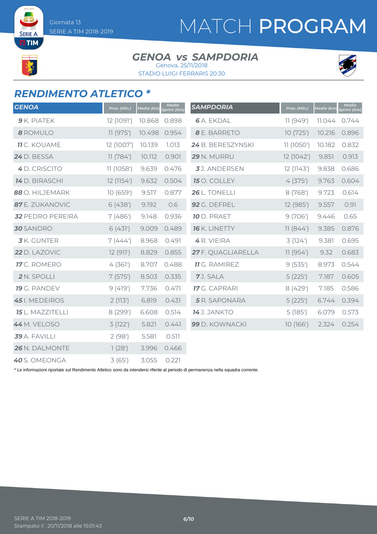SERIE A **TIM** 

# MATCH PROGRAM

#### GENOA *vs* SAMPDORIA Genova, 25/11/2018

STADIO LUIGI FERRARIS 20:30



### *RENDIMENTO ATLETICO \**

| <b>GENOA</b>            | Pres. (Min.) | Media (km) | Media<br>Sprint (Km) | <b>SAMPDORIA</b>     | Pres. (Min.) | Media (km | Media<br>Sprint (Km) |
|-------------------------|--------------|------------|----------------------|----------------------|--------------|-----------|----------------------|
| $9$ K. PIATEK           | 12 (1091')   | 10.868     | 0.898                | <b>6</b> A. EKDAL    | 11(949)      | 11.044    | 0.744                |
| 8 ROMULO                | 11 (975')    | 10.498     | 0.954                | 8 E. BARRETO         | 10(725)      | 10.216    | 0.896                |
| <b>11</b> C. KOUAME     | 12 (1007')   | 10.139     | 1.013                | 24 B. BERESZYNSKI    | 11 (1050')   | 10.182    | 0.832                |
| <b>24</b> D. BESSA      | 11(784)      | 10.112     | 0.901                | 29 N. MURRU          | 12 (1042')   | 9.851     | 0.913                |
| 4 D. CRISCITO           | 11 (1058')   | 9.639      | 0.476                | 3J. ANDERSEN         | 12(1143)     | 9.838     | 0.686                |
| <b>14</b> D. BIRASCHI   | 12 (1154')   | 9.632      | 0.504                | 15 O. COLLEY         | 4(375)       | 9.763     | 0.604                |
| 88 O. HILJEMARK         | 10 (659')    | 9.517      | 0.877                | 26 L. TONELLI        | 8(768)       | 9.723     | 0.614                |
| 87 E. ZUKANOVIC         | 6(438)       | 9.192      | 0.6                  | 92 G. DEFREL         | 12 (985')    | 9.557     | 0.91                 |
| <b>32 PEDRO PEREIRA</b> | 7(486)       | 9.148      | 0.936                | <b>10</b> D. PRAET   | 9(706)       | 9.446     | 0.65                 |
| <b>30</b> SANDRO        | 6(431)       | 9.009      | 0.489                | <b>16</b> K. LINETTY | 11(844)      | 9.385     | 0.876                |
| <b>3</b> K. GUNTER      | 7(444)       | 8.968      | 0.491                | 4 R. VIEIRA          | 3(124)       | 9.381     | 0.695                |
| 22 D. LAZOVIC           | 12(911)      | 8.829      | 0.855                | 27 F. QUAGLIARELLA   | 11(954)      | 9.32      | 0.683                |
| 17 C. ROMERO            | 4(361)       | 8.707      | 0.488                | <b>11</b> G. RAMIREZ | 9(535)       | 8.973     | 0.544                |
| 2 N. SPOLLI             | 7(575)       | 8.503      | 0.335                | 7J. SALA             | 5(225')      | 7.187     | 0.605                |
| 19 G. PANDEV            | 9(419')      | 7.736      | 0.471                | <b>17</b> G. CAPRARI | 8(429)       | 7.185     | 0.586                |
| 45 I. MEDEIROS          | 2(113)       | 6.819      | 0.431                | 5 R. SAPONARA        | 5(225')      | 6.744     | 0.394                |
| <b>15</b> L. MAZZITELLI | 8 (299')     | 6.608      | 0.514                | <b>14</b> J. JANKTO  | 5(185)       | 6.079     | 0.573                |
| 44 M. VELOSO            | 3(122)       | 5.821      | 0.441                | 99 D. KOWNACKI       | 10(166)      | 2.324     | 0.254                |
| 39 A. FAVILLI           | 2(98)        | 5.581      | 0.511                |                      |              |           |                      |
| 26 N. DALMONTE          | 1(28')       | 3.996      | 0.466                |                      |              |           |                      |
| 40 S. OMEONGA           | 3(65)        | 3.055      | 0.221                |                      |              |           |                      |

\* Le informazioni riportate sul Rendimento Atletico sono da intendersi riferite al periodo di permanenza nella squadra corrente.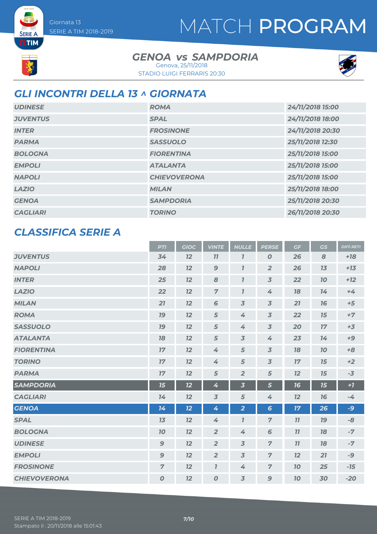# MATCH PROGRAM

# **ETIM**

**SERIE A** 

#### GENOA *vs* SAMPDORIA Genova, 25/11/2018

STADIO LUIGI FERRARIS 20:30



### *GLI INCONTRI DELLA 13 ^ GIORNATA*

| <b>UDINESE</b>  | <b>ROMA</b>         | 24/11/2018 15:00 |
|-----------------|---------------------|------------------|
| <b>JUVENTUS</b> | <b>SPAL</b>         | 24/11/2018 18:00 |
| <b>INTER</b>    | <b>FROSINONE</b>    | 24/11/2018 20:30 |
| <b>PARMA</b>    | <b>SASSUOLO</b>     | 25/11/2018 12:30 |
| <b>BOLOGNA</b>  | <b>FIORENTINA</b>   | 25/11/2018 15:00 |
| <b>EMPOLI</b>   | <b>ATALANTA</b>     | 25/11/2018 15:00 |
| <b>NAPOLI</b>   | <b>CHIEVOVERONA</b> | 25/11/2018 15:00 |
| <b>LAZIO</b>    | <b>MILAN</b>        | 25/11/2018 18:00 |
| <b>GENOA</b>    | <b>SAMPDORIA</b>    | 25/11/2018 20:30 |
| <b>CAGLIARI</b> | <b>TORINO</b>       | 26/11/2018 20:30 |

#### *CLASSIFICA SERIE A*

|                     | <b>PTI</b>       | <b>GIOC</b> | <b>VINTE</b>        | <b>NULLE</b>            | <b>PERSE</b>             | GF | <b>GS</b> | <b>DIFF.RETI</b> |
|---------------------|------------------|-------------|---------------------|-------------------------|--------------------------|----|-----------|------------------|
| <b>JUVENTUS</b>     | 34               | 12          | 11                  | 7                       | $\boldsymbol{0}$         | 26 | 8         | $+18$            |
| <b>NAPOLI</b>       | 28               | 12          | 9                   | $\mathbf{I}$            | $\overline{2}$           | 26 | 13        | $+13$            |
| <b>INTER</b>        | 25               | 12          | 8                   | $\mathbf{I}$            | $\overline{3}$           | 22 | 70        | $+12$            |
| <b>LAZIO</b>        | 22               | 12          | $\overline{7}$      | $\mathbf{I}$            | $\overline{4}$           | 18 | 14        | $+4$             |
| <b>MILAN</b>        | 21               | 12          | 6                   | $\overline{3}$          | $\overline{\mathcal{S}}$ | 21 | 76        | $+5$             |
| <b>ROMA</b>         | 19               | 12          | 5                   | 4                       | $\overline{3}$           | 22 | 15        | $+7$             |
| <b>SASSUOLO</b>     | 19               | 12          | 5                   | 4                       | $\overline{\mathcal{S}}$ | 20 | 17        | $+3$             |
| <b>ATALANTA</b>     | 78               | 12          | 5                   | $\overline{3}$          | 4                        | 23 | 14        | $+9$             |
| <b>FIORENTINA</b>   | 17               | 12          | 4                   | 5                       | $\overline{3}$           | 18 | 10        | $+8$             |
| <b>TORINO</b>       | 17               | 12          | 4                   | $\sqrt{5}$              | $\overline{\mathcal{S}}$ | 17 | 15        | $+2$             |
| <b>PARMA</b>        | 17               | 12          | 5                   | $\overline{2}$          | 5                        | 12 | 15        | $-3$             |
| <b>SAMPDORIA</b>    | 15               | 12          | 4                   | $\overline{\mathbf{3}}$ | 5                        | 16 | 15        | $+1$             |
| <b>CAGLIARI</b>     | 14               | 12          | $\overline{3}$      | 5                       | 4                        | 12 | 76        | $-4$             |
| <b>GENOA</b>        | 14               | 12          | 4                   | $\overline{2}$          | $6\phantom{a}$           | 17 | 26        | -9               |
| <b>SPAL</b>         | 13               | 12          | 4                   | $\mathbf{I}$            | $\overline{z}$           | 11 | 19        | -8               |
| <b>BOLOGNA</b>      | 10               | 12          | $\overline{2}$      | 4                       | 6                        | 11 | 18        | $-7$             |
| <b>UDINESE</b>      | 9                | 12          | $\overline{2}$      | $\overline{3}$          | $\overline{z}$           | 77 | 78        | $-7$             |
| <b>EMPOLI</b>       | 9                | 12          | $\overline{2}$      | $\overline{3}$          | $\overline{7}$           | 12 | 21        | $-9$             |
| <b>FROSINONE</b>    | $\overline{7}$   | 12          | $\boldsymbol{\eta}$ | 4                       | $\overline{7}$           | 70 | 25        | $-15$            |
| <b>CHIEVOVERONA</b> | $\boldsymbol{0}$ | 12          | $\boldsymbol{0}$    | $\overline{3}$          | 9                        | 10 | 30        | $-20$            |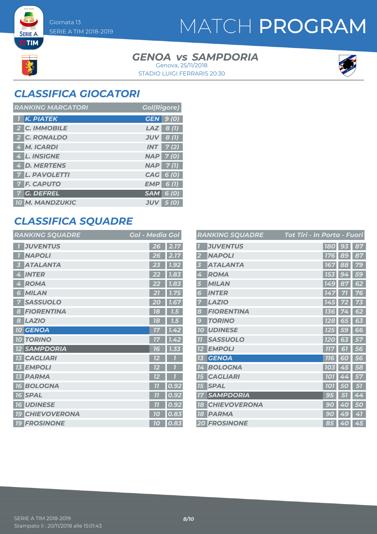**SERIE A ETIM** 

# MATCH PROGRAM

#### GENOA *vs* SAMPDORIA STADIO LUIGI FERRARIS 20:30 Genova, 25/11/2018



### *CLASSIFICA GIOCATORI*

| <b>RANKING MARCATORI</b> | <b>Gol(Rigore)</b>         |
|--------------------------|----------------------------|
| 1 K. PIATEK              | <b>GEN</b> 9 (0)           |
| 2 C. IMMOBILE            | $LAZ$ 8(1)                 |
| 2 C. RONALDO             | 8(1)<br><b>JUV</b>         |
| 4 M. ICARDI              | $INT$ 7(2)                 |
| 4 L. INSIGNE             | $NAP$ 7 (0)                |
| 4 D. MERTENS             | $NAP$ 7(1)                 |
| <b>7 L. PAVOLETTI</b>    | CAG 6 (0)                  |
| <b>7 F. CAPUTO</b>       | EMP<br>6(1)                |
| 7 G. DEFREL              | $SAM$ 6 (0)                |
| <b>10 M. MANDZUKIC</b>   | <b>JUV</b><br><b>5</b> (0) |

### *CLASSIFICA SQUADRE*

| <b>RANKING SQUADRE</b>       | <b>Gol - Media Gol</b> |
|------------------------------|------------------------|
| <b>JUVENTUS</b>              | 2.17<br>26             |
| <b>NAPOLI</b>                | 2.17<br>26             |
| <b>ATALANTA</b>              | 1.92                   |
| 3                            | 23                     |
| <b>INTER</b>                 | 1.83                   |
| 4                            | 22                     |
| <b>ROMA</b>                  | 1.83                   |
| 4                            | 22                     |
| <b>MILAN</b>                 | 1.75                   |
| 6                            | 21                     |
| <b>SASSUOLO</b>              | 1.67                   |
| 7                            | 20                     |
| <b>FIORENTINA</b>            | 18                     |
| 8                            | 7.5                    |
| <b>LAZIO</b>                 | 78                     |
| 8                            | 7.5                    |
| <b>10 GENOA</b>              | 1.42<br>77             |
| <b>10 TORINO</b>             | 7.42<br>17             |
| <b>SAMPDORIA</b>             | 1.33                   |
| <b>12</b>                    | 16                     |
| <b>CAGLIARI</b><br><b>13</b> | 12                     |
| <b>EMPOLI</b><br><b>13</b>   | 12                     |
| <b>PARMA</b><br>13           | 12                     |
| <b>BOLOGNA</b>               | 0.92                   |
| <b>16</b>                    |                        |
| <b>SPAL</b>                  | 0.92                   |
| <b>16</b>                    | 7 <sup>7</sup>         |
| <b>16 UDINESE</b>            | 0.92<br>77             |
| <b>CHIEVOVERONA</b>          | 0.83                   |
| <b>19</b>                    | 70                     |
| <b>19 FROSINONE</b>          | 0.83<br>10             |

|                         | <b>RANKING SQUADRE</b> | Tot Tiri - In Porta - Fuori |              |    |
|-------------------------|------------------------|-----------------------------|--------------|----|
|                         | <b>JUVENTUS</b>        | <b>180</b>                  | 93           | 87 |
| $\overline{\mathbf{2}}$ | <b>NAPOLI</b>          | 176                         | 89           | 87 |
| 3                       | <b>ATALANTA</b>        | 167                         | 88           | 79 |
| 4                       | <b>ROMA</b>            | 153                         | 9<br>4       | 59 |
| 5                       | <b>MILAN</b>           | <b>149</b>                  | 87           | 62 |
| 6                       | <b>INTER</b>           | 147                         | 71           | 76 |
| 7                       | <b>LAZIO</b>           | 145                         |              | 73 |
| 8                       | <b>FIORENTINA</b>      | 136                         | 74           | 62 |
| $\mathbf{g}$            | <b>TORINO</b>          | <b>128</b>                  | 65           | 63 |
| 10                      | <b>UDINESE</b>         | <b>125</b>                  | <b>59</b>    | 66 |
| 77                      | <b>SASSUOLO</b>        | <b>120</b>                  | 63           | 57 |
| 12                      | <b>EMPOLI</b>          | 777                         | $\mathbf{S}$ | 56 |
| 13                      | <b>GENOA</b>           | 116                         | 60           | 56 |
| 14                      | <b>BOLOGNA</b>         | 103                         | 45           | 58 |
| 15                      | <b>CAGLIARI</b>        | <b>101</b>                  | 4<br>4       | 57 |
| 15                      | <b>SPAL</b>            | 101                         | 0            | 57 |
| 77                      | <b>SAMPDORIA</b>       | 95                          |              | 44 |
| 18                      | <b>CHIEVOVERONA</b>    | 9<br>0                      | A<br>O       | 50 |
| 18                      | <b>PARMA</b>           | 90                          | 49           | 41 |
|                         | <b>20 FROSINONE</b>    | 85                          | 40           | 45 |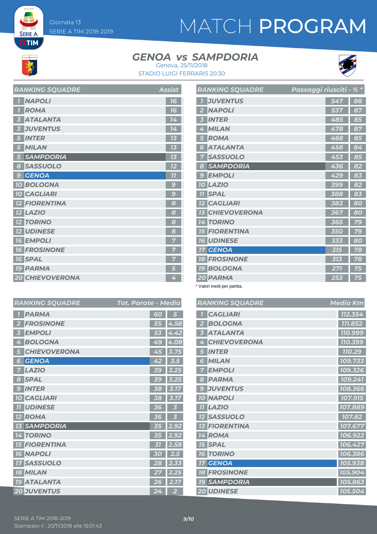**SERIE A**  $ETIM$ 

# MATCH PROGRAM

#### GENOA *vs* SAMPDORIA



STADIO LUIGI FERRARIS 20:30 Genova, 25/11/2018

| <b>RANKING SQUADRE</b> | <b>Assist</b> |
|------------------------|---------------|
| <b>NAPOLI</b>          | 16            |
| <b>ROMA</b>            | 16            |
| <b>ATALANTA</b>        | 14            |
| <b>JUVENTUS</b>        | 14            |
| <b>INTER</b>           | 73            |
| <b>MILAN</b>           | 73            |
| <b>SAMPDORIA</b>       | 73            |
| <b>SASSUOLO</b><br>8   | 12            |
| <b>GENOA</b><br>9      | 77            |
| <b>10 BOLOGNA</b>      | $\epsilon$    |
| <b>10 CAGLIARI</b>     | $\mathbf{C}$  |
| <b>12 FIORENTINA</b>   | 8             |
| <b>LAZIO</b>           | 8             |
| <b>12 TORINO</b>       | 8             |
| <b>12 UDINESE</b>      | 8             |
| <b>16 EMPOLI</b>       |               |
| <b>16 FROSINONE</b>    |               |
| <b>16 SPAL</b>         |               |
| <b>19 PARMA</b>        | 5             |
| <b>20 CHIEVOVERONA</b> | 4             |

|                         | RANKING SQUADRE        | Passaggi riusciti - % * |     |    |
|-------------------------|------------------------|-------------------------|-----|----|
| $\overline{1}$          | <b>JUVENTUS</b>        |                         | 547 | 88 |
| $\overline{2}$          | <b>NAPOLI</b>          |                         | 537 | 87 |
| $\overline{\mathbf{3}}$ | <b>INTER</b>           |                         | 485 | 85 |
| 4                       | <b>MILAN</b>           |                         | 478 | 87 |
| 5                       | <b>ROMA</b>            |                         | 468 | 85 |
| 6                       | <b>ATALANTA</b>        |                         | 458 | 84 |
| 7                       | <b>SASSUOLO</b>        |                         | 453 | 85 |
| 8                       | <b>SAMPDORIA</b>       |                         | 436 | 82 |
| $\mathcal G$            | <b>EMPOLI</b>          |                         | 429 | 83 |
| 10                      | <b>LAZIO</b>           |                         | 399 | 82 |
| 11                      | <b>SPAL</b>            |                         | 388 | 83 |
|                         | <b>12 CAGLIARI</b>     |                         | 383 | 80 |
|                         | <b>13 CHIEVOVERONA</b> |                         | 367 | 80 |
|                         | <b>14 TORINO</b>       |                         | 365 | 79 |
|                         | <b>15 FIORENTINA</b>   |                         | 350 | 79 |
|                         | <b>16 UDINESE</b>      |                         | 333 | 80 |
|                         | <b>17 GENOA</b>        |                         | 315 | 78 |
|                         | <b>18 FROSINONE</b>    |                         | 313 | 78 |
|                         | <b>19 BOLOGNA</b>      |                         | 271 | 75 |
|                         | 20 PARMA               |                         | 253 | 75 |

\* Valori medi per partita.

| ia              |              | <b>RANKING SQUADRE</b> | <b>Media Km</b> |
|-----------------|--------------|------------------------|-----------------|
| 5               |              | <b>CAGLIARI</b>        | 112.354         |
| 58              |              | <b>BOLOGNA</b>         | 111.852         |
| 42              | 3            | <b>ATALANTA</b>        | 110.999         |
| 08              | 4            | <b>CHIEVOVERONA</b>    | 110.399         |
| 75              | 5            | <b>INTER</b>           | 110.29          |
| $.5\,$          | 6            | <b>MILAN</b>           | 109.733         |
| 25              |              | <b>EMPOLI</b>          | 109.326         |
| 25              | 8            | <b>PARMA</b>           | 109.241         |
| 17 <sup>7</sup> | $\mathbf{C}$ | <b>JUVENTUS</b>        | 108.366         |
| 17              |              | <b>10 NAPOLI</b>       | 107.915         |
| 3               |              | <b>TT LAZIO</b>        | 107.889         |
| 3               |              | <b>SASSUOLO</b>        | 107.82          |
| 92              |              | <b>FIORENTINA</b>      | 107.677         |
| 92              |              | <b>14 ROMA</b>         | 106.922         |
| 58              |              | <b>15 SPAL</b>         | 106.427         |
| $\mathbf{.5}$   |              | <b>16 TORINO</b>       | 106.386         |
| 33              | 17           | <b>GENOA</b>           | 105.938         |
| 25              |              | <b>18 FROSINONE</b>    | 105.904         |
| 17              |              | <b>SAMPDORIA</b>       | 105.863         |
| 2               |              | 20 UDINESE             | 105.504         |

| <b>RANKING SQUADRE</b>             | Tot. Parate - Media |                  |
|------------------------------------|---------------------|------------------|
| <b>PARMA</b>                       | 60                  | 5                |
| <b>FROSINONE</b>                   | 55                  | 4.58             |
| <b>EMPOLI</b><br>5                 | 53                  | 4.42             |
| <b>BOLOGNA</b><br>4                | 49                  | 4.08             |
| <b>CHIEVOVERONA</b><br>5           | 45                  | 3.75             |
| <b>GENOA</b><br>6                  | 42                  | 3.5 <sub>1</sub> |
| <b>LAZIO</b><br>7                  | 39                  | 3.25             |
| <b>SPAL</b><br>8                   | 39                  | 3.25             |
| <b>INTER</b><br>$\mathbf{C}$       | 38                  | 3.17             |
| <b>CAGLIARI</b><br>10 <sup>1</sup> | 38                  | 3.17             |
| <b>UDINESE</b><br>77               | 36                  | 3                |
| <b>ROMA</b>                        | 36                  | 3                |
| <b>13 SAMPDORIA</b>                | 35                  | 2.92             |
| <b>14 TORINO</b>                   | 35                  | 2.92             |
| <b>15 FIORENTINA</b>               | 31                  | 2.58             |
| <b>NAPOLI</b><br>76                | 30                  | 2.5              |
| <b>SASSUOLO</b>                    | 28                  | 2.33             |
| <b>18 MILAN</b>                    | 27                  | 2.25             |
| <b>19 ATALANTA</b>                 | 26                  | 2.17             |
| <b>20 JUVENTUS</b>                 | 24                  | $\overline{2}$   |

| SERIE A TIM 2018-2019                 | 9/10 |
|---------------------------------------|------|
| Stampato il: 20/11/2018 alle 15:01:43 |      |